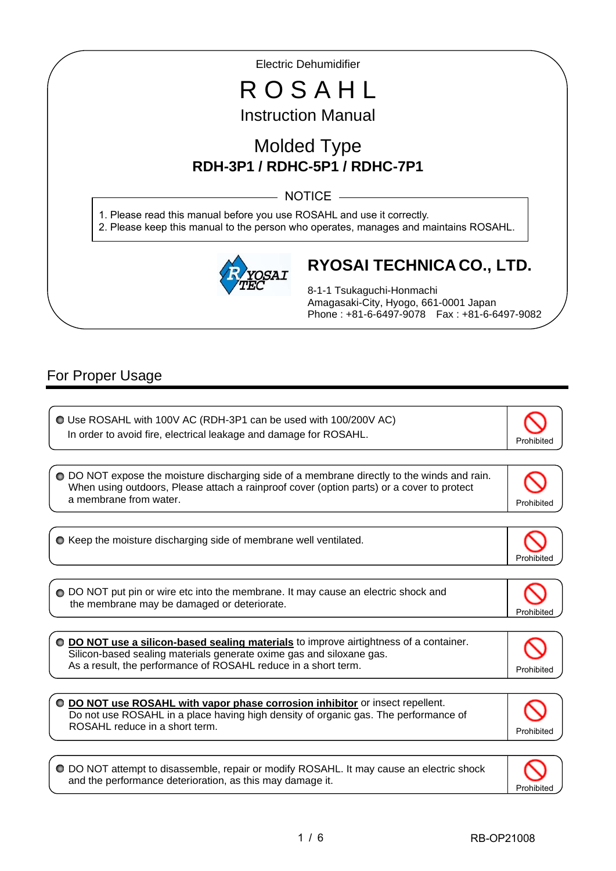Electric Dehumidifier

# R O S A H L Instruction Manual

# Molded Type **RDH-3P1 / RDHC-5P1 / RDHC-7P1**

 $-$  NOTICE  $-$ 

1. Please read this manual before you use ROSAHL and use it correctly. 2. Please keep this manual to the person who operates, manages and maintains ROSAHL.



# **RYOSAI TECHNICA CO., LTD.**

8-1-1 Tsukaguchi-Honmachi Amagasaki-City, Hyogo, 661-0001 Japan Phone : +81-6-6497-9078 Fax : +81-6-6497-9082

### For Proper Usage

I

I

ľ

| O Use ROSAHL with 100V AC (RDH-3P1 can be used with 100/200V AC)<br>In order to avoid fire, electrical leakage and damage for ROSAHL.                                                                                          | Prohibited |
|--------------------------------------------------------------------------------------------------------------------------------------------------------------------------------------------------------------------------------|------------|
|                                                                                                                                                                                                                                |            |
| ○ DO NOT expose the moisture discharging side of a membrane directly to the winds and rain.<br>When using outdoors, Please attach a rainproof cover (option parts) or a cover to protect<br>a membrane from water.             | Prohibited |
|                                                                                                                                                                                                                                |            |
| ○ Keep the moisture discharging side of membrane well ventilated.                                                                                                                                                              | Prohibite  |
|                                                                                                                                                                                                                                |            |
| ◯ DO NOT put pin or wire etc into the membrane. It may cause an electric shock and<br>the membrane may be damaged or deteriorate.                                                                                              | Prohibiteo |
| DO NOT use a silicon-based sealing materials to improve airtightness of a container.<br>Silicon-based sealing materials generate oxime gas and siloxane gas.<br>As a result, the performance of ROSAHL reduce in a short term. | Prohibited |
| O DO NOT use ROSAHL with vapor phase corrosion inhibitor or insect repellent.<br>Do not use ROSAHL in a place having high density of organic gas. The performance of<br>ROSAHL reduce in a short term.                         | Prohibited |
|                                                                                                                                                                                                                                |            |
| o dicessomble, repair ex modify DOCALLU to move couse on electric aboale                                                                                                                                                       |            |

DO NOT attempt to disassemble, repair or modify ROSAHL. It may cause an electric shock and the performance deterioration, as this may damage it.

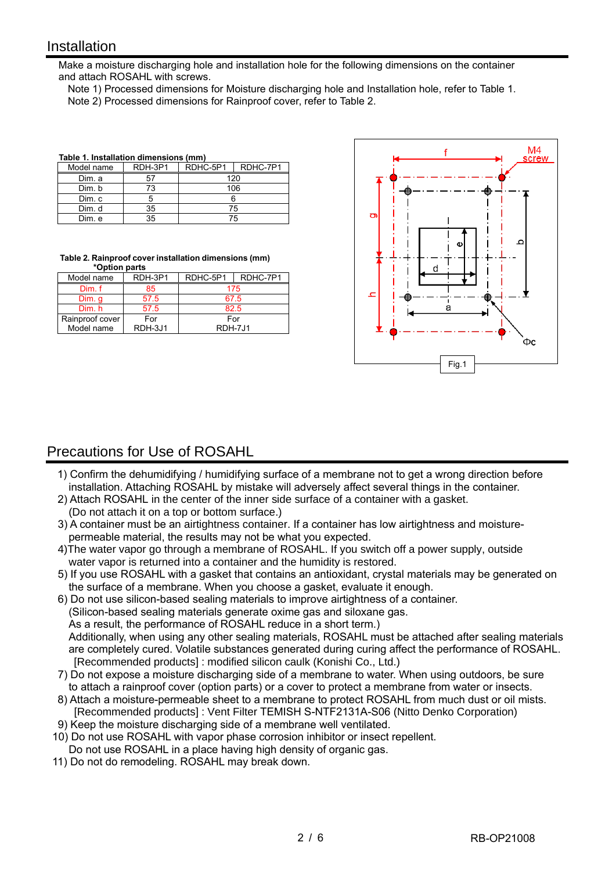#### **Installation**

I

Make a moisture discharging hole and installation hole for the following dimensions on the container and attach ROSAHL with screws.

 Note 1) Processed dimensions for Moisture discharging hole and Installation hole, refer to Table 1. Note 2) Processed dimensions for Rainproof cover, refer to Table 2.

| Table 1. Installation dimensions (mm) |         |          |          |
|---------------------------------------|---------|----------|----------|
| Model name                            | RDH-3P1 | RDHC-5P1 | RDHC-7P1 |
| Dim. a                                | 57      |          | 120      |
| Dim. b                                | 73      |          | 106      |
| Dim. c                                | 5       |          |          |
| Dim. d                                | 35      |          | 75       |
| Dim. e                                | 35      |          | 75       |

**Table 2. Rainproof cover installation dimensions (mm) \*Option parts**

| Model name      | RDH-3P1 | RDHC-5P1 | RDHC-7P1 |
|-----------------|---------|----------|----------|
| Dim. f          | 85      | 175      |          |
| Dim. q          | 57.5    | 67.5     |          |
| Dim. h          | 57.5    | 82.5     |          |
| Rainproof cover | For     | For      |          |
| Model name      | RDH-3J1 | RDH-7J1  |          |



### Precautions for Use of ROSAHL

- 1) Confirm the dehumidifying / humidifying surface of a membrane not to get a wrong direction before installation. Attaching ROSAHL by mistake will adversely affect several things in the container.
- 2) Attach ROSAHL in the center of the inner side surface of a container with a gasket.
- (Do not attach it on a top or bottom surface.)
- 3) A container must be an airtightness container. If a container has low airtightness and moisturepermeable material, the results may not be what you expected.
- 4)The water vapor go through a membrane of ROSAHL. If you switch off a power supply, outside water vapor is returned into a container and the humidity is restored.
- 5) If you use ROSAHL with a gasket that contains an antioxidant, crystal materials may be generated on the surface of a membrane. When you choose a gasket, evaluate it enough.
- 6) Do not use silicon-based sealing materials to improve airtightness of a container. (Silicon-based sealing materials generate oxime gas and siloxane gas. As a result, the performance of ROSAHL reduce in a short term.) Additionally, when using any other sealing materials, ROSAHL must be attached after sealing materials
- are completely cured. Volatile substances generated during curing affect the performance of ROSAHL. [Recommended products] : modified silicon caulk (Konishi Co., Ltd.)
- 7) Do not expose a moisture discharging side of a membrane to water. When using outdoors, be sure to attach a rainproof cover (option parts) or a cover to protect a membrane from water or insects.
- 8) Attach a moisture-permeable sheet to a membrane to protect ROSAHL from much dust or oil mists. [Recommended products] : Vent Filter TEMISH S-NTF2131A-S06 (Nitto Denko Corporation)
- 9) Keep the moisture discharging side of a membrane well ventilated.
- 10) Do not use ROSAHL with vapor phase corrosion inhibitor or insect repellent. Do not use ROSAHL in a place having high density of organic gas.
- 11) Do not do remodeling. ROSAHL may break down.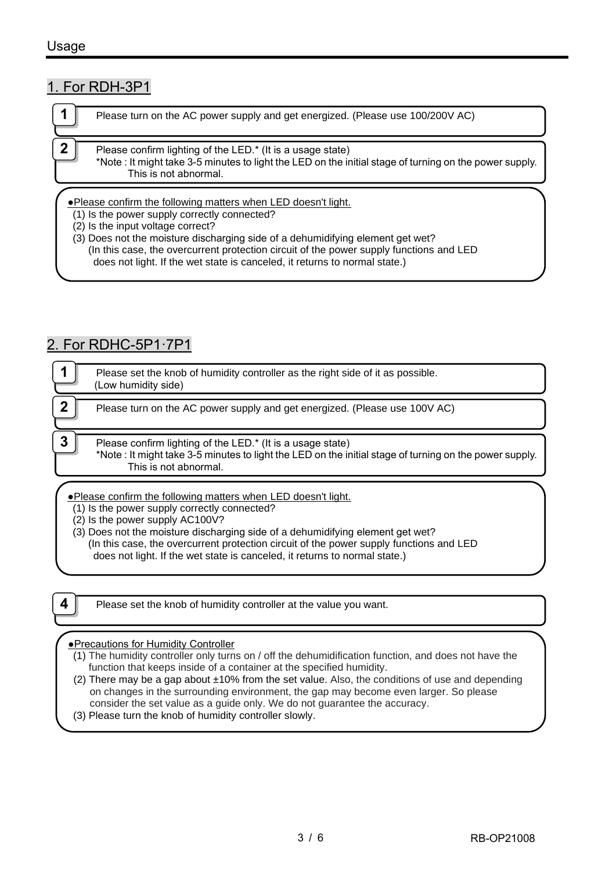#### 1. For RDH-3P1

|             | Please turn on the AC power supply and get energized. (Please use 100/200V AC)                                                                                                                 |
|-------------|------------------------------------------------------------------------------------------------------------------------------------------------------------------------------------------------|
| $\mathbf 2$ | Please confirm lighting of the LED.* (It is a usage state)<br>*Note : It might take 3-5 minutes to light the LED on the initial stage of turning on the power supply.<br>This is not abnormal. |
|             | . Please confirm the following matters when LED doesn't light.                                                                                                                                 |

- (1) Is the power supply correctly connected?
- (2) Is the input voltage correct?

(3) Does not the moisture discharging side of a dehumidifying element get wet? (In this case, the overcurrent protection circuit of the power supply functions and LED does not light. If the wet state is canceled, it returns to normal state.)

### 2. For RDHC-5P1·7P1

|   | Please set the knob of humidity controller as the right side of it as possible.<br>(Low humidity side)                                                                                        |
|---|-----------------------------------------------------------------------------------------------------------------------------------------------------------------------------------------------|
| 0 | Please turn on the AC power supply and get energized. (Please use 100V AC)                                                                                                                    |
| 3 | Please confirm lighting of the LED.* (It is a usage state)<br>*Note: It might take 3-5 minutes to light the LED on the initial stage of turning on the power supply.<br>This is not abnormal. |
|   | .Please confirm the following matters when LED doesn't light.<br>(1) Is the power supply correctly connected?                                                                                 |

 $(2)$  Is the power supply AC100V?

(3) Does not the moisture discharging side of a dehumidifying element get wet? (In this case, the overcurrent protection circuit of the power supply functions and LED does not light. If the wet state is canceled, it returns to normal state.)

**4 Please set the knob of humidity controller at the value you want.** 

#### ●Precautions for Humidity Controller

- (1) The humidity controller only turns on / off the dehumidification function, and does not have the function that keeps inside of a container at the specified humidity.
- (2) There may be a gap about  $\pm 10\%$  from the set value. Also, the conditions of use and depending on changes in the surrounding environment, the gap may become even larger. So please consider the set value as a guide only. We do not guarantee the accuracy.
- (3) Please turn the knob of humidity controller slowly.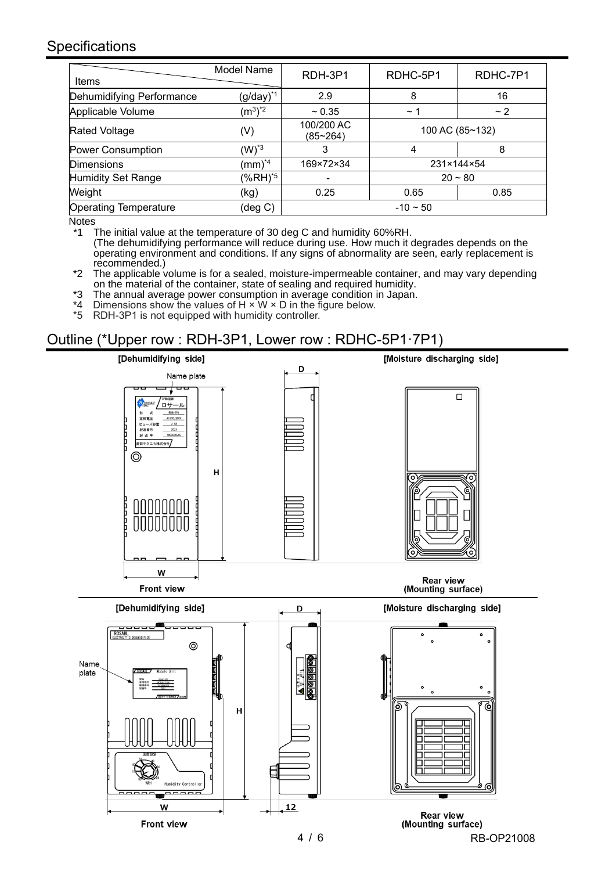#### Specifications

| Items                        | Model Name             | RDH-3P1                    | RDHC-5P1   | RDHC-7P1        |
|------------------------------|------------------------|----------------------------|------------|-----------------|
| Dehumidifying Performance    | $(g/day)^{*1}$         | 2.9                        | 8          | 16              |
| Applicable Volume            | $(m^3)^*$ <sup>2</sup> | ~10.35                     | $\sim$ 1   | ~2              |
| <b>Rated Voltage</b>         | $(\mathsf{V})$         | 100/200 AC<br>$(85 - 264)$ |            | 100 AC (85~132) |
| Power Consumption            | $(W)^*$ <sup>3</sup>   | 3                          | 4          | 8               |
| <b>Dimensions</b>            | $(mm)^{4}$             | 169×72×34                  | 231×144×54 |                 |
| <b>Humidity Set Range</b>    | (%RH) <sup>*5</sup>    | -                          | $20 - 80$  |                 |
| Weight                       | (kg)                   | 0.25                       | 0.65       | 0.85            |
| <b>Operating Temperature</b> | (deg C)                | $-10 \sim 50$              |            |                 |

Notes

The initial value at the temperature of 30 deg C and humidity 60%RH. (The dehumidifying performance will reduce during use. How much it degrades depends on the operating environment and conditions. If any signs of abnormality are seen, early replacement is recommended.)

\*2 The applicable volume is for a sealed, moisture-impermeable container, and may vary depending on the material of the container, state of sealing and required humidity.

\*3 The annual average power consumption in average condition in Japan.

\*4 Dimensions show the values of H  $\times$  W  $\times$  D in the figure below.<br>\*5 RDH-3P1 is not equipped with humidity controller.

**EXECUTE SHOW IS CONSIDERED FOR A PARTICIPALLY** 

### Outline (\*Upper row : RDH-3P1, Lower row : RDHC-5P1·7P1)



4 / 6 RB-OP21008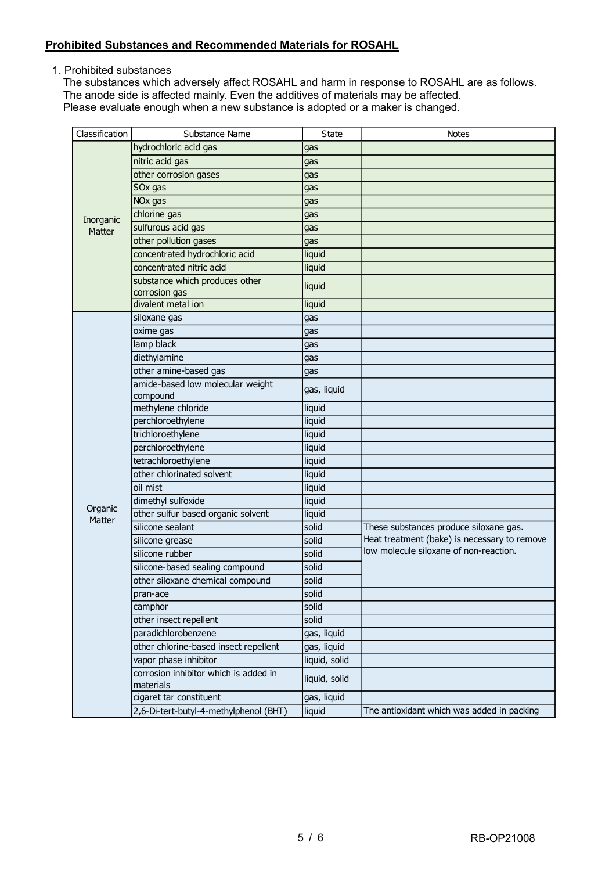#### **Prohibited Substances and Recommended Materials for ROSAHL**

1. Prohibited substances

The substances which adversely affect ROSAHL and harm in response to ROSAHL are as follows. The anode side is affected mainly. Even the additives of materials may be affected. Please evaluate enough when a new substance is adopted or a maker is changed.

| Classification    | Substance Name                                     | State         | <b>Notes</b>                                 |
|-------------------|----------------------------------------------------|---------------|----------------------------------------------|
|                   | hydrochloric acid gas                              | gas           |                                              |
|                   | nitric acid gas                                    | gas           |                                              |
|                   | other corrosion gases                              | gas           |                                              |
|                   | SO <sub>x</sub> gas                                | gas           |                                              |
|                   | NO <sub>x</sub> gas                                | gas           |                                              |
| Inorganic         | chlorine gas                                       | gas           |                                              |
| Matter            | sulfurous acid gas                                 | gas           |                                              |
|                   | other pollution gases                              | gas           |                                              |
|                   | concentrated hydrochloric acid                     | liquid        |                                              |
|                   | concentrated nitric acid                           | liquid        |                                              |
|                   | substance which produces other<br>corrosion gas    | liquid        |                                              |
|                   | divalent metal ion                                 | liquid        |                                              |
|                   | siloxane gas                                       | gas           |                                              |
|                   | oxime gas                                          | gas           |                                              |
|                   | lamp black                                         | gas           |                                              |
|                   | diethylamine                                       | gas           |                                              |
|                   | other amine-based gas                              | gas           |                                              |
|                   | amide-based low molecular weight                   |               |                                              |
|                   | compound                                           | gas, liquid   |                                              |
|                   | methylene chloride                                 | liquid        |                                              |
|                   | perchloroethylene                                  | liquid        |                                              |
|                   | trichloroethylene                                  | liquid        |                                              |
|                   | perchloroethylene                                  | liquid        |                                              |
|                   | tetrachloroethylene                                | liquid        |                                              |
|                   | other chlorinated solvent                          | liquid        |                                              |
|                   | oil mist                                           | liquid        |                                              |
|                   | dimethyl sulfoxide                                 | liquid        |                                              |
| Organic<br>Matter | other sulfur based organic solvent                 | liquid        |                                              |
|                   | silicone sealant                                   | solid         | These substances produce siloxane gas.       |
|                   | silicone grease                                    | solid         | Heat treatment (bake) is necessary to remove |
|                   | silicone rubber                                    | solid         | low molecule siloxane of non-reaction.       |
|                   | silicone-based sealing compound                    | solid         |                                              |
|                   | other siloxane chemical compound                   | solid         |                                              |
|                   | pran-ace                                           | solid         |                                              |
|                   | camphor                                            | solid         |                                              |
|                   | other insect repellent                             | solid         |                                              |
|                   | paradichlorobenzene                                | gas, liquid   |                                              |
|                   | other chlorine-based insect repellent              | gas, liquid   |                                              |
|                   | vapor phase inhibitor                              | liquid, solid |                                              |
|                   | corrosion inhibitor which is added in<br>materials | liquid, solid |                                              |
|                   | cigaret tar constituent                            | gas, liquid   |                                              |
|                   | 2,6-Di-tert-butyl-4-methylphenol (BHT)             | liquid        | The antioxidant which was added in packing   |